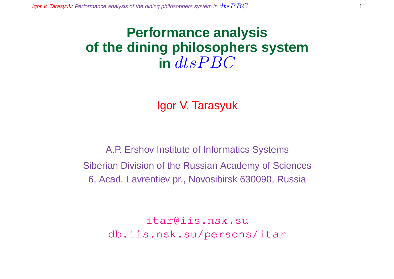# **Performance analysis of the dining philosophers system**  $\int$  dts  $P$  BC

Igor V. Tarasyuk

A.P. Ershov Institute of Informatics Systems Siberian Division of the Russian Academy of Sciences 6, Acad. Lavrentiev pr., Novosibirsk 630090, Russia

> itar@iis.nsk.su db.iis.nsk.su/persons/itar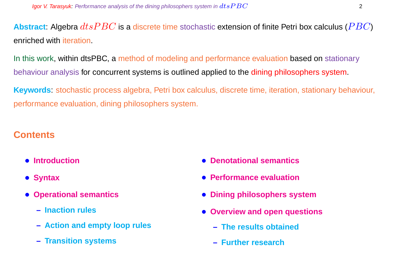**Abstract:** Algebra  $dtsPBC$  is a discrete time stochastic extension of finite Petri box calculus ( $PBC$ ) enriched with iteration.

In this work, within dtsPBC, a method of modeling and performance evaluation based on stationary behaviour analysis for concurrent systems is outlined applied to the dining philosophers system.

**Keywords**: stochastic process algebra, Petri box calculus, discrete time, iteration, stationary behaviour, performance evaluation, dining philosophers system.

# **Contents**

- **Introduction**
- **Syntax**
- **Operational semantics**
	- **– Inaction rules**
	- **– Action and empty loop rules**
	- **– Transition systems**
- **Denotational semantics**
- **Performance evaluation**
- **Dining philosophers system**
- **Overview and open questions**
	- **– The results obtained**
	- **– Further research**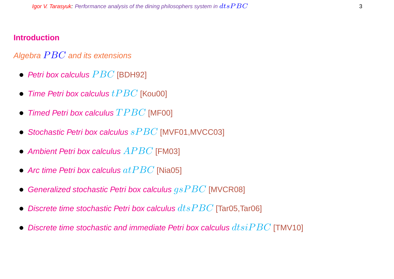### **Introduction**

# Algebra  $PBC$  and its extensions

- Petri box calculus  $PBC$  [BDH92]
- Time Petri box calculus  $tPBC$  [Kou00]
- Timed Petri box calculus  $TPBC$  [MF00]
- Stochastic Petri box calculus  $sPBC$  [MVF01, MVCC03]
- Ambient Petri box calculus  $APBC$  [FM03]
- Arc time Petri box calculus  $at PBC$  [Nia05]
- Generalized stochastic Petri box calculus  $gsPBC$  [MVCR08]
- Discrete time stochastic Petri box calculus  $dt$ s $PBC$  [Tar05,Tar06]
- Discrete time stochastic and immediate Petri box calculus  $dtsiPBC$  [TMV10]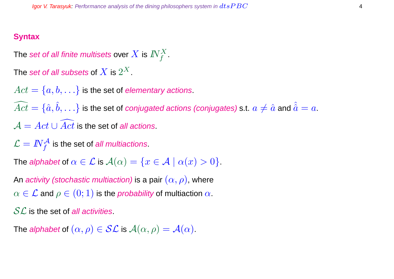#### **Syntax**

The set of all finite multisets over  $X$  is  $I\!\!N_f^X.$ 

The  $\operatorname{\mathsf{set}}$  of all subsets of  $X$  is  $2^X.$ 

 $Act = \{a, b, \ldots\}$  is the set of *elementary actions*.

 $\widehat{Act} = \{\hat a, \hat b, \ldots\}$  is the set of *conjugated actions (conjugates)* s.t.  $a\neq \hat a$  and  $\hat{\hat a}=a.$  $\mathcal{A} = Act \cup \overline{Act}$  is the set of all actions.

 $\mathcal{L} = \textit{IN}^{\mathcal{A}}_{f}$  is the set of *all multiactions*.

The alphabet of  $\alpha \in \mathcal{L}$  is  $\mathcal{A}(\alpha) = \{x \in \mathcal{A} \mid \alpha(x) > 0\}.$ 

An activity (stochastic multiaction) is a pair  $(\alpha, \rho)$ , where  $\alpha \in \mathcal{L}$  and  $\rho \in (0,1)$  is the *probability* of multiaction  $\alpha$ .

 $SL$  is the set of all activities.

The alphabet of  $(\alpha, \rho) \in \mathcal{SL}$  is  $\mathcal{A}(\alpha, \rho) = \mathcal{A}(\alpha)$ .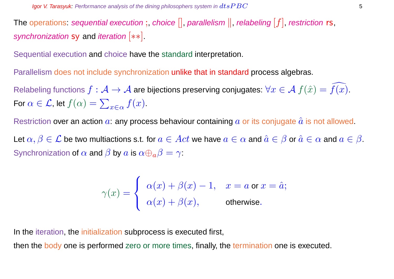The operations: sequential execution;, choice  $[]$ , parallelism  $||$ , relabeling  $[f]$ , restriction rs, synchronization sy and iteration [ $**$ ].

Sequential execution and choice have the standard interpretation.

Parallelism does not include synchronization unlike that in standard process algebras.

Relabeling functions  $f : \mathcal{A} \to \mathcal{A}$  are bijections preserving conjugates:  $\forall x \in \mathcal{A}$   $f(\hat{x}) = f(x)$ . For  $\alpha \in \mathcal{L}$ , let  $f(\alpha) = \sum$  $x \in \alpha$   $f(x)$ .

Restriction over an action  $a$ : any process behaviour containing  $a$  or its conjugate  $\hat{a}$  is not allowed.

Let  $\alpha, \beta \in \mathcal{L}$  be two multiactions s.t. for  $a \in Act$  we have  $a \in \alpha$  and  $\hat{a} \in \beta$  or  $\hat{a} \in \alpha$  and  $a \in \beta$ . Synchronization of  $\alpha$  and  $\beta$  by  $\alpha$  is  $\alpha \oplus_{\alpha} \beta = \gamma$ :

$$
\gamma(x) = \begin{cases} \alpha(x) + \beta(x) - 1, & x = a \text{ or } x = \hat{a}; \\ \alpha(x) + \beta(x), & \text{otherwise}. \end{cases}
$$

In the iteration, the initialization subprocess is executed first,

then the body one is performed zero or more times, finally, the termination one is executed.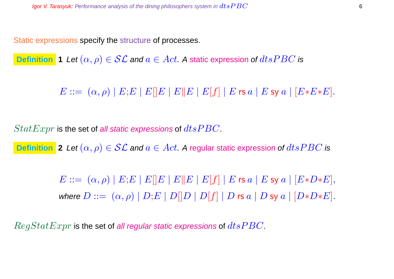Static expressions specify the structure of processes.

**Definition 1** Let  $(\alpha, \rho) \in \mathcal{SL}$  and  $a \in Act$ . A static expression of  $dtsPBC$  is

 $E ::= (\alpha, \rho) | E; E | E | E | E | E | E | E | f | E \text{ is a} | E \text{ sy a} | [E * E * E].$ 

 $StatExpr$  is the set of all static expressions of  $dtsPBC$ .

**Definition** 2 Let  $(\alpha, \rho) \in \mathcal{SL}$  and  $a \in Act$ . A regular static expression of  $dtsPBC$  is

 $E ::= (\alpha, \rho) | E; E | E | E | E | E | E | E | f | | E$  rs  $a | E$  sy  $a | [E*D*E],$ where  $D ::= (\alpha, \rho) | D; E | D[|D | D[|f] | D$  rs  $a | D$  sy  $a | [D*D*E].$ 

 $RegStatexpr$  is the set of all regular static expressions of  $dtsPBC$ .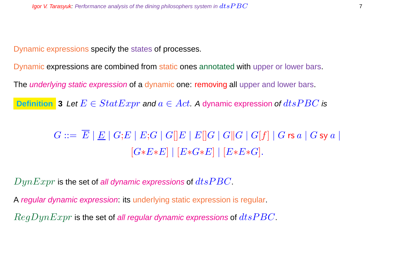Dynamic expressions specify the states of processes.

Dynamic expressions are combined from static ones annotated with upper or lower bars.

The *underlying static expression* of a dynamic one: removing all upper and lower bars.

**Definition** 3 Let  $E \in StatExpr$  and  $a \in Act$ . A dynamic expression of  $dtsPBC$  is

 $G ::= \overline{E} |E| |G;E| |E;G| |G||E| |E||G| |G||G| |G|f| |G$ rs  $a |G$  sy  $a |$  $[G*E*E] | [E*G*E] | [E*E*G].$ 

 $DynExpr$  is the set of all dynamic expressions of  $dtsPBC$ .

A regular dynamic expression: its underlying static expression is regular.

 $RegDynExpr$  is the set of all regular dynamic expressions of  $dtsPBC$ .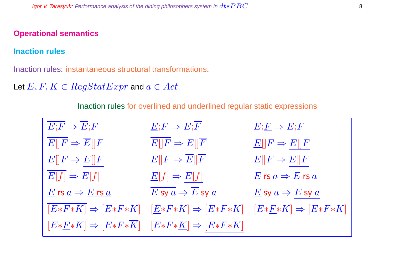#### **Operational semantics**

#### **Inaction rules**

Inaction rules: instantaneous structural transformations.

Let  $E, F, K \in RegStatExpr$  and  $a \in Act$ .

Inaction rules for overlined and underlined regular static expressions

| $\overline{E;F} \Rightarrow \overline{E};F$                                | $E; F \Rightarrow E; \overline{F}$                                                                           | $E;E \Rightarrow E;F$                                                       |
|----------------------------------------------------------------------------|--------------------------------------------------------------------------------------------------------------|-----------------------------------------------------------------------------|
| $\overline{E[ F } \Rightarrow \overline{E[} F ]$                           | $E  F \Rightarrow E  \overline{F}$                                                                           | $\underline{E}[[F \Rightarrow E][F$                                         |
| $E[\underline{F} \Rightarrow E[\overline{F}]$                              | $\overline{E  F} \Rightarrow \overline{E}  \overline{F}$                                                     | $E  F \Rightarrow E  F$                                                     |
| $E[f] \Rightarrow \overline{E}[f]$                                         | $\underline{E}[f] \Rightarrow E[f]$                                                                          | $\overline{E}$ rs $\overline{a} \Rightarrow \overline{E}$ rs $\overline{a}$ |
| $\underline{E}$ rs $a \Rightarrow \underline{E}$ rs $\underline{a}$        | $\overline{E}$ sy $a \Rightarrow \overline{E}$ sy $a$                                                        | $\underline{E}$ sy $a \Rightarrow E$ sy $a$                                 |
|                                                                            | $\overline{ E*F*K } \Rightarrow  \overline{E}*F*K  \quad  \underline{E}*F*K  \Rightarrow  E*\overline{F}*K $ | $[E*E*K] \Rightarrow [E*\overline{F}*K]$                                    |
| $[E*F*K] \Rightarrow [E*F*\overline{K}] \quad [E*F*K] \Rightarrow [E*F*K]$ |                                                                                                              |                                                                             |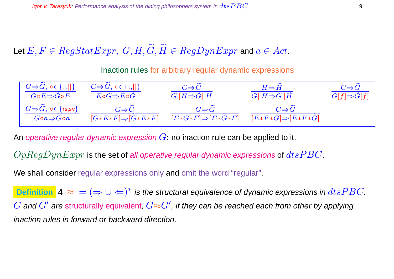Let  $E, F \in RegStatexpr$ ,  $G, H, \widetilde{G}, \widetilde{H} \in RegDynExpr$  and  $a \in Act$ .

Inaction rules for arbitrary regular dynamic expressions

| $G \Rightarrow G, \circ \in \{ ; , [] \}$                        | $G \Rightarrow G, \circ \in \{ ;, [] \}$           | $G \Rightarrow G$                                  | $H{\Rightarrow}H$                                  | $G \Rightarrow G$       |
|------------------------------------------------------------------|----------------------------------------------------|----------------------------------------------------|----------------------------------------------------|-------------------------|
| $G\!\circ\! E\!\Rightarrow\! G\!\circ\! E$                       | $E\circ G \Rightarrow E\circ G$                    | $G  H \Rightarrow G  H$                            | $G  H \Rightarrow G  H$                            | $G[f]{\Rightarrow}G[f]$ |
| $G \Rightarrow G, \circ \in \{rs, sy\}$<br>$Goa \Rightarrow Goa$ | $G \Rightarrow G$<br>$[G*E*F] \Rightarrow [G*E*F]$ | $G \Rightarrow G$<br>$[E*G*F] \Rightarrow [E*G*F]$ | $G \Rightarrow G$<br>$[E*F*G] \Rightarrow [E*F*G]$ |                         |

An operative regular dynamic expression  $G$ : no inaction rule can be applied to it.

 $OpReqDynExpr$  is the set of all operative regular dynamic expressions of  $dts PBC$ .

We shall consider regular expressions only and omit the word "regular".

**Definition**  $\blacktriangle \approx$  =  $(\Rightarrow \cup \Leftarrow)^*$  is the structural equivalence of dynamic expressions in  $dtsPBC$ .  $G$  and  $G'$  are structurally equivalent,  $G{\approx}G'$ , if they can be reached each from other by applying inaction rules in forward or backward direction.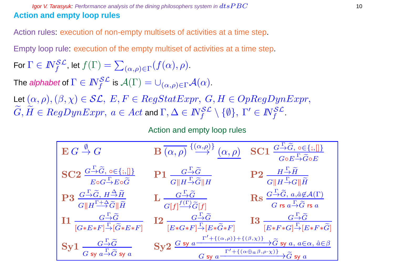#### Igor V. Tarasyuk: Performance analysis of the dining philosophers system in  $dtsPBC$  10 **Action and empty loop rules**

Action rules: execution of non-empty multisets of activities at a time step.

Empty loop rule: execution of the empty multiset of activities at a time step.

For 
$$
\Gamma \in I\!\!N_f^{\mathcal{SL}}
$$
, let  $f(\Gamma) = \sum_{(\alpha,\rho) \in \Gamma} (f(\alpha), \rho).$ 

The *alphabet* of  $\Gamma \in I\!\!N_f^{\mathcal{SL}}$  is  $\mathcal{A}(\Gamma) = \cup_{(\alpha,\rho) \in \Gamma} \mathcal{A}(\alpha).$ 

Let  $(\alpha,\rho),(\beta,\chi)\in \mathcal{SL},\,E,F\in RegStatexpr,\,G,H\in OpRegDynExpr,$  $G,H\in RegDynExpr, \ a\in Act$  and  $\Gamma,\Delta\in I\!\!N_f^{\mathcal{SL}}\setminus\{\emptyset\}, \ \Gamma'\in I\!\!N_f^{\mathcal{SL}}.$ 

Action and empty loop rules

| $\mathbf{E} \: G \stackrel{\emptyset}{\to} G$                                                                                                                                                             | $\mathbf{B}\overline{(\alpha,\rho)} \stackrel{\{\alpha,\rho\}}{\longrightarrow} (\alpha,\rho)$                                                                                                                                                                 | $SC1 \frac{G \rightarrow \widetilde{G}, o \in \{; \  \} }{G \circ E \rightarrow \widetilde{G} \circ E}$                                                                                      |
|-----------------------------------------------------------------------------------------------------------------------------------------------------------------------------------------------------------|----------------------------------------------------------------------------------------------------------------------------------------------------------------------------------------------------------------------------------------------------------------|----------------------------------------------------------------------------------------------------------------------------------------------------------------------------------------------|
| $SC2 \frac{G \rightarrow \widetilde{G}, o \in \{;,\}]}{E \circ G \rightarrow E \circ \widetilde{G}}$                                                                                                      | $\text{P1}\,\frac{G\,\,\stackrel{\Gamma}{\rightarrow}\!\widetilde{G}}{G\,\Vert H\,\stackrel{\Gamma}{\rightarrow}\!\widetilde{G}\Vert H}$                                                                                                                       | $\mathrm{P2}\;\frac{H\overset{\Gamma}{\rightarrow}\widetilde{H}}{G\ H\overset{\Gamma}{\rightarrow}G\ \widetilde{H}}$                                                                         |
| $\mathrm{P3}\ \frac{G\overset{\Gamma}{\rightarrow}\!\widetilde{G}\text{,}\ H\overset{\Delta}{\rightarrow}\!\widetilde{H}}{G\Vert H\overset{\Gamma+\Delta}{\rightarrow}\!\widetilde{G}\Vert\widetilde{H}}$ | $\mathbf{L} \xrightarrow[G[f]^{\overbrace{f(\Gamma)}\widetilde{G}}[\overline{f}]] \overline{\widetilde{G}[f]}$                                                                                                                                                 | $\operatorname{Rs} \frac{G \stackrel{\Gamma}{\rightarrow} \widetilde{G}, a, \hat{a} \notin \mathcal{A}(\Gamma)}{G \text{ rs } a \stackrel{\Gamma}{\rightarrow} \widetilde{G} \text{ rs } a}$ |
| $\prod \frac{G-\widetilde{G}}{[G*E*F] \rightarrow [\widetilde{G}*E*F]}$                                                                                                                                   | 12 $\frac{G-\widetilde{G}}{[E*G*F]-[E*\widetilde{G}*F]}$ 13 $\frac{G-\widetilde{G}}{[E*F*G]-[E*F*\widetilde{G}]}$                                                                                                                                              |                                                                                                                                                                                              |
| Sy1 $\frac{G-\widetilde{G}}{G \text{ sy } a-\widetilde{G} \text{ sy } a}$                                                                                                                                 | $\frac{\mathbf{S}\mathbf{y2} \xrightarrow{\Gamma'+((\alpha,\rho))+((\beta,\chi))} \widetilde{G} \text{ sy } a, a \in \alpha, \hat{a} \in \beta}{G \text{ sy } a \xrightarrow{\Gamma'+((\alpha \oplus a \beta, \rho \cdot \chi))} \widetilde{G} \text{ sy } a}$ |                                                                                                                                                                                              |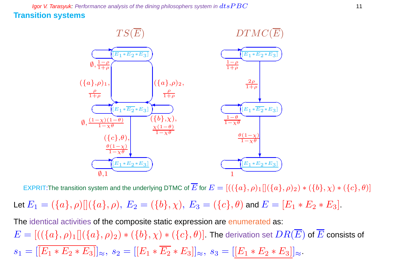**Igor V. Tarasyuk:** Performance analysis of the dining philosophers system in  $dtsPBC$  11 **Transition systems**



EXPRIT:The transition system and the underlying DTMC of  $\overline{E}$  for  $E = [((\{a\}, \rho)_1][(\{a\}, \rho)_2) * (\{b\}, \chi) * (\{c\}, \theta)]$ 

Let  $E_1 = (\{a\}, \rho) [(\{a\}, \rho), E_2 = (\{b\}, \chi), E_3 = (\{c\}, \theta)$  and  $E = [E_1 * E_2 * E_3]$ .

The identical activities of the composite static expression are enumerated as:  $E=[((\{a\},\rho)_1][(\{a\},\rho)_2)*(\{b\},\chi)*(\{c\},\theta)]$ . The derivation set  $DR(\overline{E})$  of  $\overline{E}$  consists of  $s_1 = |\overline{[E_1 * E_2 * E_3]}|_{\approx}, s_2 = |[E_1 * \overline{E_2} * E_3]|_{\approx}, s_3 = |[E_1 * E_2 * E_3]|_{\approx}.$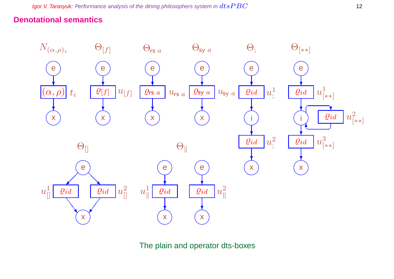# **Denotational semantics**



The plain and operator dts-boxes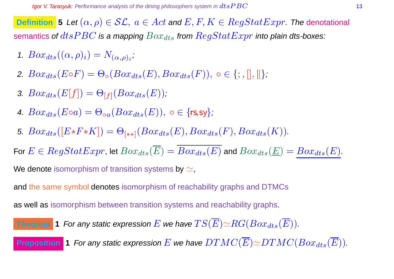**Definition 5** Let  $(\alpha, \rho) \in \mathcal{SL}$ ,  $a \in Act$  and  $E, F, K \in RegStatExpr$ . The denotational semantics of  $dtsPBC$  is a mapping  $Box_{dts}$  from  $RegStatExpr$  into plain dts-boxes:

- 1.  $Box_{dts}((\alpha, \rho)_i) = N_{(\alpha, \rho)_i},$
- 2.  $Box_{dts}(E \circ F) = \Theta_{\circ}(Box_{dts}(E), Box_{dts}(F)), \circ \in \{; , \|, \| \};$
- 3.  $Box_{dts}(E[f]) = \Theta_{[f]}(Box_{dts}(E));$
- 4.  $Box_{dts}(E \circ a) = \Theta_{oa}(Box_{dts}(E))$ ,  $\circ \in \{rs, sy\}$ ;
- 5.  $Box_{dts}([E*F*K]) = \Theta_{[**]}(Box_{dts}(E),Box_{dts}(F),Box_{dts}(K)).$

For  $E \in RegStatexpr$ , let  $Box_{dts}(\overline{E}) = \overline{Box_{dts}(E)}$  and  $Box_{dts}(\underline{E}) = Box_{dts}(E)$ .

We denote isomorphism of transition systems by  $\simeq$ ,

and the same symbol denotes isomorphism of reachability graphs and DTMCs

as well as isomorphism between transition systems and reachability graphs.

**Theorem 1** For any static expression 
$$
E
$$
 we have  $TS(\overline{E}) \simeq RG(Box_{dts}(\overline{E}))$ .

**Proposition 1** For any static expression E we have  $DTMC(\overline{E}) \simeq DTMC(Box_{dts}(\overline{E}))$ .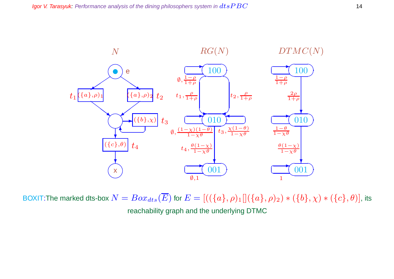

BOXIT:The marked dts-box  $N = Box_{dts}(\overline{E})$  for  $E = [((\{a\}, \rho)_1][(\{a\}, \rho)_2) * (\{b\}, \chi) * (\{c\}, \theta)]$ , its reachability graph and the underlying DTMC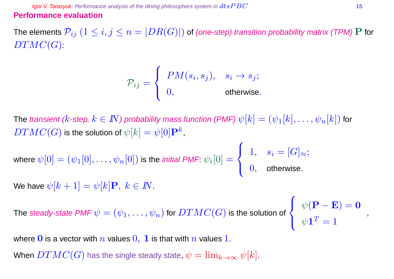**Igor V. Tarasyuk:** Performance analysis of the dining philosophers system in  $dtsPBC$  15 **Performance evaluation**

The elements  $\mathcal{P}_{ij}$   $(1\leq i,j\leq n=|DR(G)|)$  of (one-step) transition probability matrix (TPM) P for  $DTMC(G)$ :

$$
\mathcal{P}_{ij} = \begin{cases} PM(s_i, s_j), & s_i \to s_j; \\ 0, & \text{otherwise.} \end{cases}
$$

The transient (k-step,  $k \in I\!\!N$ ) probability mass function (PMF)  $\psi[k] = (\psi_1[k], \ldots, \psi_n[k])$  for  $DTMC(G)$  is the solution of  $\psi[k]=\psi[0]\mathbf{P}^k,$ 

where 
$$
\psi[0] = (\psi_1[0], \dots, \psi_n[0])
$$
 is the *initial PMF*.  $\psi_i[0] = \begin{cases} 1, & s_i = [G]_{\approx}; \\ 0, & \text{otherwise}. \end{cases}$   
We have  $\psi[k+1] = \psi[k]\mathbf{P}, k \in \mathbb{N}$ .

The *steady-state PMF*  $\psi=(\psi_1,\ldots,\psi_n)$  *for*  $DTMC(G)$  *is the solution of* 

 $\sqrt{ }$  $\frac{1}{2}$  $\overline{\mathcal{L}}$  $\psi(\mathbf{P}-\mathbf{E})=\mathbf{0}$  $\psi\mathbf{1}^T=1$ 

,

where 0 is a vector with n values  $0, 1$  is that with n values 1.

When  $DTMC(G)$  has the single steady state,  $\psi = \lim_{k \to \infty} \psi[k]$ .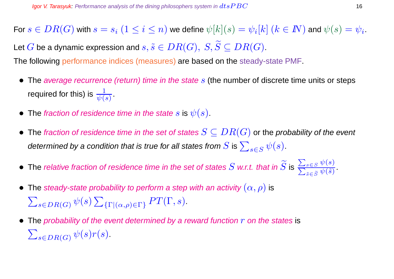For  $s\in DR(G)$  with  $s=s_i\;(1\leq i\leq n)$  we define  $\psi[k](s)=\psi_i[k]$   $(k\in I\!\!N)$  and  $\psi(s)=\psi_i.$ Let G be a dynamic expression and  $s, \tilde{s} \in DR(G), S, \widetilde{S} \subseteq DR(G).$ 

The following performance indices (measures) are based on the steady-state PMF.

- The average recurrence (return) time in the state  $s$  (the number of discrete time units or steps required for this) is  $\frac{1}{\psi(s)}$  .
- The fraction of residence time in the state s is  $\psi(s)$ .
- The fraction of residence time in the set of states  $S \subseteq DR(G)$  or the probability of the event determined by a condition that is true for all states from  $S$  is  $\sum_{s\in S} \psi(s).$
- $\bullet\,$  The relative fraction of residence time in the set of states  $S$  w.r.t. that in  $S$  is  $\overline{\phantom{0}}$  $\overline{\overline{\nabla}}$  $s \in S$   $\psi(s)$  $_{\tilde{s}\in \widetilde{S}}\psi (\tilde{s})$ .
- The steady-state probability to perform a step with an activity  $(\alpha, \rho)$  is  $\sum_{s \in DR(G)} \psi(s) \sum_{\{\Gamma \mid (\alpha,\rho) \in \Gamma\}} PT(\Gamma, s).$
- The probability of the event determined by a reward function  $r$  on the states is  $\sum_{s \in DR(G)} \psi(s) r(s)$ .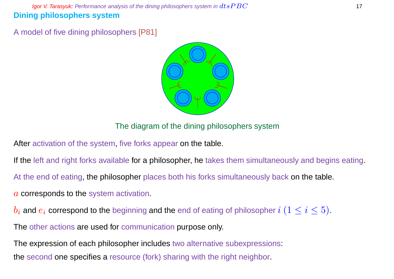**Igor V. Tarasyuk:** Performance analysis of the dining philosophers system in  $dtsPBC$  17 **Dining philosophers system**

A model of five dining philosophers [P81]



The diagram of the dining philosophers system

After activation of the system, five forks appear on the table.

If the left and right forks available for a philosopher, he takes them simultaneously and begins eating.

At the end of eating, the philosopher places both his forks simultaneously back on the table.

- a corresponds to the system activation.
- $b_i$  and  $e_i$  correspond to the beginning and the end of eating of philosopher  $i$   $(1 \leq i \leq 5)$ .

The other actions are used for communication purpose only.

The expression of each philosopher includes two alternative subexpressions: the second one specifies a resource (fork) sharing with the right neighbor.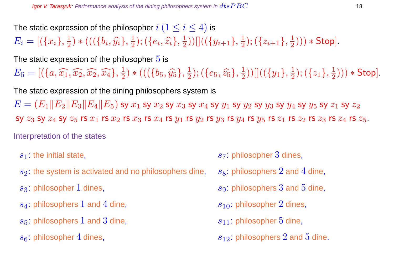The static expression of the philosopher  $i$   $(1 \leq i \leq 4)$  is

 $E_i = [(\{x_i\}, \frac{1}{2})]$  $(\{b_i, \widehat{y_i}\}, \frac{1}{2})$  $(\{e_i,\widehat{z_i}\},\frac{1}{2})$  $(\frac{1}{2}))[((\{y_{i+1}\},\frac{1}{2}% ,\{y_{i+1}\},\frac{1}{2})^2)]$  $(\{z_{i+1}\},\frac{1}{2})$  $(\frac{1}{2}))) *$  Stop].

The static expression of the philosopher  $5$  is

 $E_5 = [ (\{a, \widehat{x_1}, \widehat{x_2}, \widehat{x_2}, \widehat{x_4} \}, \frac{1}{2}]$  $(\{b_5, \hat{y_5}\}, \frac{1}{2})$  $(\{e_5, \widehat{z_5}\}, \frac{1}{2})$  $(\overline{\{y_1\}},\frac{1}{2}))[](\overline{\{y_1\}},\frac{1}{2})$  $(\{z_1\},\frac{1}{2})$  $(\frac{1}{2}))) *$  Stop].

The static expression of the dining philosophers system is  $E = (E_1||E_2||E_3||E_4||E_5)$  sy  $x_1$  sy  $x_2$  sy  $x_3$  sy  $x_4$  sy  $y_1$  sy  $y_2$  sy  $y_3$  sy  $y_4$  sy  $y_5$  sy  $z_1$  sy  $z_2$ SY  $z_3$  SY  $z_4$  SY  $z_5$  rs  $x_1$  rs  $x_2$  rs  $x_3$  rs  $x_4$  rs  $y_1$  rs  $y_2$  rs  $y_3$  rs  $y_4$  rs  $z_5$  rs  $z_1$  rs  $z_2$  rs  $z_3$  rs  $z_4$  rs  $z_5$ . Interpretation of the states

- 
- $s_2$ : the system is activated and no philosophers dine,  $s_8$ : philosophers 2 and 4 dine,
- 
- $s_4$ : philosophers 1 and 4 dine, set states and states  $s_{10}$ : philosopher 2 dines,
- $s_5$ : philosophers 1 and 3 dine, state of the state  $s_{11}$ : philosopher 5 dine,
- 
- $s_1$ : the initial state, state, state of the initial state, state of the state of the state of the state of the state of the state of the state of the state of the state of the state of the state of the state of the stat
	-
- s<sub>3</sub>: philosopher 1 dines, s<sub>9</sub>: philosophers 3 and 5 dine,
	-
	-
- $s_6$ : philosopher 4 dines, s<sub>12</sub>: philosophers 2 and 5 dine.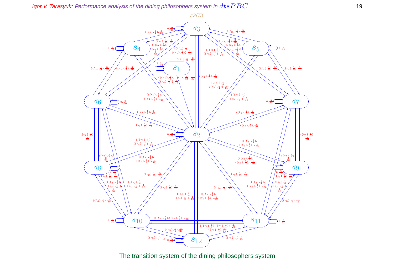Igor V. Tarasyuk: Performance analysis of the dining philosophers system in  $dtsPBC$  19



The transition system of the dining philosophers system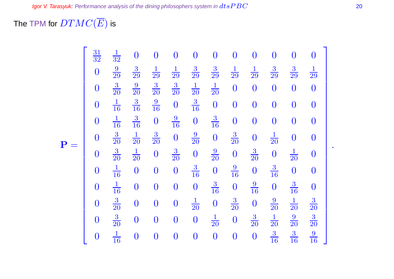The TPM for  $DTMC(\overline{E})$  is

|              | $\frac{31}{32}$  | $\frac{1}{32}$ | $\boldsymbol{0}$ | $\boldsymbol{0}$ | $\bf{0}$         | $\overline{0}$   | $\boldsymbol{0}$ | $\boldsymbol{0}$ | $\bf{0}$         | $\overline{0}$   | $\overline{0}$   | $\bf{0}$         |
|--------------|------------------|----------------|------------------|------------------|------------------|------------------|------------------|------------------|------------------|------------------|------------------|------------------|
|              | $\overline{0}$   | $\frac{9}{29}$ | $\frac{3}{29}$   | $\frac{1}{29}$   | $\frac{1}{29}$   | $\frac{3}{29}$   | $\frac{3}{29}$   | $\frac{1}{29}$   | $\frac{1}{29}$   | $\frac{3}{29}$   | $\frac{3}{29}$   | $\frac{1}{29}$   |
|              | $\boldsymbol{0}$ | $\frac{3}{20}$ | $\frac{9}{20}$   | $\frac{3}{20}$   | $\frac{3}{20}$   | $\frac{1}{20}$   | $\frac{1}{20}$   | $\overline{0}$   | $\boldsymbol{0}$ | $\boldsymbol{0}$ | $\boldsymbol{0}$ | $\boldsymbol{0}$ |
|              | $\boldsymbol{0}$ | $\frac{1}{16}$ | $\frac{3}{16}$   | $\frac{9}{16}$   | $\boldsymbol{0}$ | $\frac{3}{16}$   | $\boldsymbol{0}$ | $\overline{0}$   | $\overline{0}$   | $\overline{0}$   | $\boldsymbol{0}$ | $\boldsymbol{0}$ |
|              | $\overline{0}$   | $\frac{1}{16}$ | $\frac{3}{16}$   | $\boldsymbol{0}$ | $\frac{9}{16}$   | $\overline{0}$   | $\frac{3}{16}$   | $\boldsymbol{0}$ | $\boldsymbol{0}$ | $\overline{0}$   | $\boldsymbol{0}$ | $\mathbf{0}$     |
| $\mathbf{P}$ | $\overline{0}$   | $\frac{3}{20}$ | $\frac{1}{20}$   | $\frac{3}{20}$   | $\boldsymbol{0}$ | $\frac{9}{20}$   | $\overline{0}$   | $\frac{3}{20}$   | $\boldsymbol{0}$ | $\frac{1}{20}$   | $\boldsymbol{0}$ | $\boldsymbol{0}$ |
|              | $\boldsymbol{0}$ | $\frac{3}{20}$ | $\frac{1}{20}$   | $\boldsymbol{0}$ | $\frac{3}{20}$   | $\boldsymbol{0}$ | $\frac{9}{20}$   | $\boldsymbol{0}$ | $\frac{3}{20}$   | $\overline{0}$   | $\frac{1}{20}$   | $\boldsymbol{0}$ |
|              | $\overline{0}$   | $\frac{1}{16}$ | $\boldsymbol{0}$ | $\boldsymbol{0}$ | $\boldsymbol{0}$ | $\frac{3}{16}$   | $\boldsymbol{0}$ | $\frac{9}{16}$   | $\boldsymbol{0}$ | $\frac{3}{16}$   | $\boldsymbol{0}$ | $\boldsymbol{0}$ |
|              | $\boldsymbol{0}$ | $\frac{1}{16}$ | $\overline{0}$   | $\boldsymbol{0}$ | $\boldsymbol{0}$ | $\boldsymbol{0}$ | $\frac{3}{16}$   | $\boldsymbol{0}$ | $\frac{9}{16}$   | $\overline{0}$   | $\frac{3}{16}$   | $\boldsymbol{0}$ |
|              | $\boldsymbol{0}$ | $\frac{3}{20}$ | $\overline{0}$   | $\boldsymbol{0}$ | $\boldsymbol{0}$ | $\frac{1}{20}$   | $\boldsymbol{0}$ | $\frac{3}{20}$   | $\boldsymbol{0}$ | $\frac{9}{20}$   | $\frac{1}{20}$   | $\frac{3}{20}$   |
|              | $\boldsymbol{0}$ | $\frac{3}{20}$ | $\mathbf{0}$     | $\boldsymbol{0}$ | $\boldsymbol{0}$ | $\boldsymbol{0}$ | $\frac{1}{20}$   | $\overline{0}$   | $\frac{3}{20}$   | $\frac{1}{20}$   | $\frac{9}{20}$   | $\frac{3}{20}$   |
|              | $\bf{0}$         | $\frac{1}{16}$ | $\overline{0}$   | $\boldsymbol{0}$ | $\overline{0}$   | $\overline{0}$   | $\overline{0}$   | $\boldsymbol{0}$ | $\boldsymbol{0}$ | $\frac{3}{16}$   | $\frac{3}{16}$   | $\frac{9}{16}$   |

.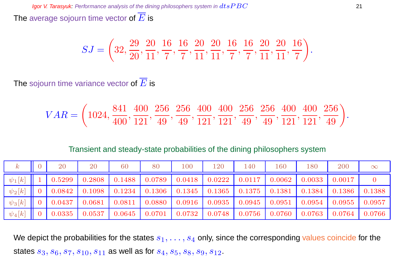The average sojourn time vector of  $\overline{E}$  is

$$
SJ = \left(32, \frac{29}{20}, \frac{20}{11}, \frac{16}{7}, \frac{16}{7}, \frac{20}{11}, \frac{20}{11}, \frac{16}{7}, \frac{16}{7}, \frac{20}{11}, \frac{20}{11}, \frac{16}{7}\right).
$$

The sojourn time variance vector of  $\overline{E}$  is

$$
VAR=\bigg(1024, \frac{841}{400}, \frac{400}{121}, \frac{256}{49}, \frac{256}{49}, \frac{400}{121}, \frac{400}{121}, \frac{256}{49}, \frac{256}{49}, \frac{400}{121}, \frac{400}{121}, \frac{256}{121}\bigg).
$$

Transient and steady-state probabilities of the dining philosophers system

| $\boldsymbol{k}$ | <b>20</b> | 20 | 60                                                                             | 80 | 100 | 120    | 140    | 160 | 180 | 200             | $\infty$ |
|------------------|-----------|----|--------------------------------------------------------------------------------|----|-----|--------|--------|-----|-----|-----------------|----------|
| $\psi_1[k]$      |           |    | $\mid$ 0.5299   0.2808   0.1488   0.0789   0.0418   0.0222                     |    |     |        |        |     |     |                 |          |
| $\psi_2[k]$      |           |    | 0 0.0842 0.1098 0.1234 0.1306 0.1345 0.1365 0.1375 0.1381 0.1384 0.1386 0.1388 |    |     |        |        |     |     |                 |          |
| $\psi_3[k]$      | 0.0437    |    | $0.0681$   $0.0811$   $0.0880$   $0.0916$   $0.0935$   $0.0945$   $0.0951$     |    |     |        |        |     |     |                 |          |
| $\psi_4[k]$      | 0.0335    |    | $0.0537$   $0.0645$   $0.0701$   $0.0732$                                      |    |     | 0.0748 | 0.0756 |     |     | $0.0763$ 0.0764 | 0.0766   |

We depict the probabilities for the states  $s_1, \ldots, s_4$  only, since the corresponding values coincide for the states  $s_3, s_6, s_7, s_{10}, s_{11}$  as well as for  $s_4, s_5, s_8, s_9, s_{12}$ .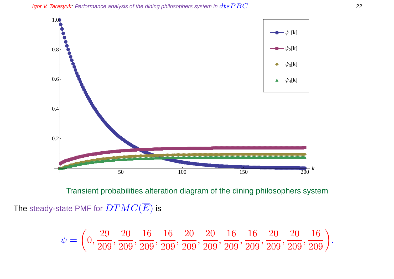Igor V. Tarasyuk: Performance analysis of the dining philosophers system in  $dtsPBC$ 



Transient probabilities alteration diagram of the dining philosophers system The steady-state PMF for  $DTMC(\overline{E})$  is

$$
\psi = \left(0, \frac{29}{209}, \frac{20}{209}, \frac{16}{209}, \frac{16}{209}, \frac{20}{209}, \frac{20}{209}, \frac{16}{209}, \frac{16}{209}, \frac{20}{209}, \frac{20}{209}, \frac{16}{209}\right).
$$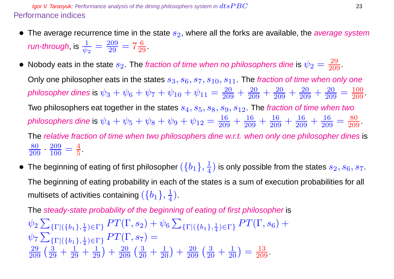**Igor V. Tarasyuk:** Performance analysis of the dining philosophers system in  $dtsPBC$  23 Performance indices

- The average recurrence time in the state  $s_2$ , where all the forks are available, the *average system* run-through, is  $\frac{1}{2}$  $\frac{1}{\psi_2} = \frac{209}{29}$  $\frac{209}{29} = 7\frac{6}{29}.$
- Nobody eats in the state  $s_2$ . The fraction of time when no philosophers dine is  $\psi_2=\frac{29}{209}.$

Only one philosopher eats in the states  $s_3, s_6, s_7, s_{10}, s_{11}$ . The fraction of time when only one philosopher dines is  $\psi_3+\psi_6+\psi_7+\psi_{10}+\psi_{11}=\frac{20}{209}+\frac{20}{209}+\frac{20}{209}+\frac{20}{209}+\frac{20}{209}$  $\frac{20}{209} = \frac{100}{209}$ . Two philosophers eat together in the states  $s_4, s_5, s_8, s_9, s_{12}$ . The fraction of time when two philosophers dine is  $\psi_4+\psi_5+\psi_8+\psi_9+\psi_{12}=\frac{16}{209}+\frac{16}{209}+\frac{16}{209}+\frac{16}{209}+\frac{16}{209}$  $\frac{16}{209} = \frac{80}{209}$ . The relative fraction of time when two philosophers dine w.r.t. when only one philosopher dines is  $\frac{80}{209} \cdot \frac{209}{100}$  $\frac{209}{100} = \frac{4}{5}$  $\frac{4}{5}$ .

 $\bullet~$  The beginning of eating of first philosopher  $(\{b_1\},\frac{1}{4})$  $\frac{1}{4})$  is only possible from the states  $s_2,s_6,s_7.$ The beginning of eating probability in each of the states is a sum of execution probabilities for all multisets of activities containing  $(\{b_1\},\frac{1}{4})$  $\frac{1}{4}$ .

The steady-state probability of the beginning of eating of first philosopher is  $\psi_2$   $\sum$  $\{\Gamma | (\{b_1\},\frac{1}{4})\}$  $\frac{1}{4}$ <sub>(er)</sub>  $PT(\Gamma,s_2)+\psi_6\sum$  $\{\Gamma | (\{b_1\},\frac{1}{4})\}$  $_{\frac{1}{4})\in\Gamma\}}PT(\Gamma,s_{6})+$  $\psi$ 7 $\sum$  $\{\Gamma | (\{b_1\},\frac{1}{4})\}$  $\frac{1}{4}$ ) $\in$ Γ}  $PT(\Gamma,s_7) =$  $\frac{29}{209} \left( \frac{3}{29} + \frac{1}{29} + \frac{1}{29} \right) + \frac{20}{209} \left( \frac{3}{20} + \frac{1}{20} \right) + \frac{20}{209} \left( \frac{3}{20} + \frac{1}{20} \right) = \frac{13}{209}.$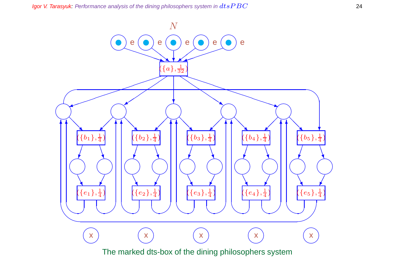Igor V. Tarasyuk: Performance analysis of the dining philosophers system in  $dtsPBC$ 

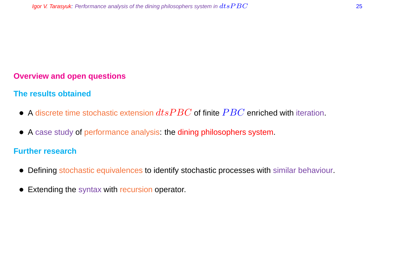# **Overview and open questions**

# **The results obtained**

- A discrete time stochastic extension  $dtsPBC$  of finite  $PBC$  enriched with iteration.
- A case study of performance analysis: the dining philosophers system.

#### **Further research**

- Defining stochastic equivalences to identify stochastic processes with similar behaviour.
- Extending the syntax with recursion operator.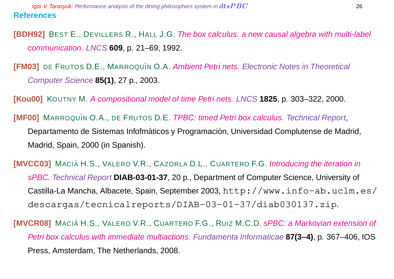**[BDH92]** BEST E., DEVILLERS R., HALL J.G. The box calculus: a new causal algebra with multi-label communication. LNCS **609**, p. 21–69, 1992.

**[FM03]** DE FRUTOS D.E., MARROQUÍN O.A. Ambient Petri nets. Electronic Notes in Theoretical Computer Science **85(1)**, 27 p., 2003.

**[Kou00]** KOUTNY M. A compositional model of time Petri nets. LNCS **1825**, p. 303–322, 2000.

**[MF00]** MARROQUÍN O.A., DE FRUTOS D.E. *TPBC: timed Petri box calculus. Technical Report*, Departamento de Sistemas Infofmáticos y Programación, Universidad Complutense de Madrid, Madrid, Spain, 2000 (in Spanish).

**[MVCC03]** MACIA H.S., VALERO V.R., CAZORLA D.L., CUARTERO F.G. Introducing the iteration in sPBC. Technical Report **DIAB-03-01-37**, 20 p., Department of Computer Science, University of Castilla-La Mancha, Albacete, Spain, September 2003, http://www.info-ab.uclm.es/ descargas/tecnicalreports/DIAB-03-01-37/diab030137.zip.

**[MVCR08]** MACIÀ H.S., VALERO V.R., CUARTERO F.G., RUIZ M.C.D. sPBC: a Markovian extension of Petri box calculus with immediate multiactions. Fundamenta Informaticae **87(3–4)**, p. 367–406, IOS Press, Amsterdam, The Netherlands, 2008.